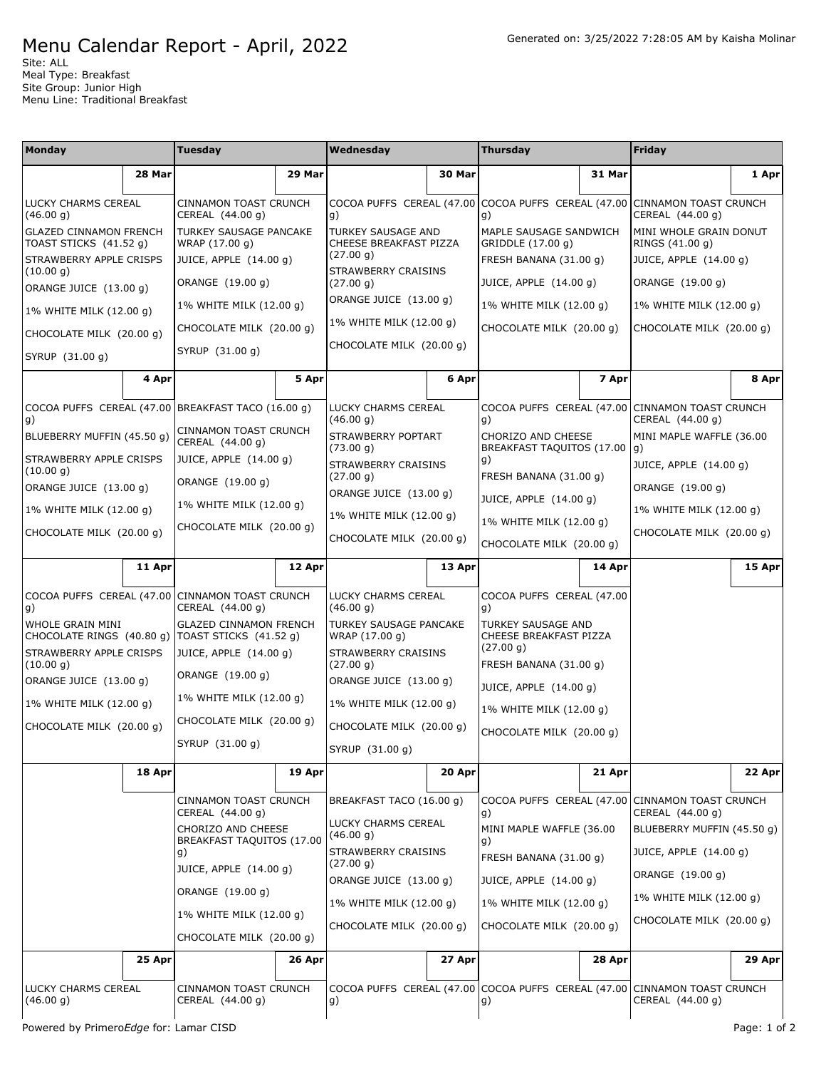## Menu Calendar Report - April, 2022

Site: ALL Meal Type: Breakfast Site Group: Junior High Menu Line: Traditional Breakfast

| <b>Monday</b>                                                          |        | Tuesday                                                                                                                                                                   |        | Wednesday                                                                                                                                             |        | Thursday                                                                                                                                  |        | <b>Friday</b>                                                                                                                   |        |                                        |        |                                                  |          |    |        |                                                                                 |        |                  |              |
|------------------------------------------------------------------------|--------|---------------------------------------------------------------------------------------------------------------------------------------------------------------------------|--------|-------------------------------------------------------------------------------------------------------------------------------------------------------|--------|-------------------------------------------------------------------------------------------------------------------------------------------|--------|---------------------------------------------------------------------------------------------------------------------------------|--------|----------------------------------------|--------|--------------------------------------------------|----------|----|--------|---------------------------------------------------------------------------------|--------|------------------|--------------|
|                                                                        | 28 Mar |                                                                                                                                                                           | 29 Mar |                                                                                                                                                       | 30 Mar |                                                                                                                                           | 31 Mar |                                                                                                                                 | 1 Apr  |                                        |        |                                                  |          |    |        |                                                                                 |        |                  |              |
| LUCKY CHARMS CEREAL<br>(46.00 g)                                       |        | CINNAMON TOAST CRUNCH<br>CEREAL (44.00 g)                                                                                                                                 |        | g)                                                                                                                                                    |        | COCOA PUFFS CEREAL (47.00 COCOA PUFFS CEREAL (47.00 CINNAMON TOAST CRUNCH<br>g)                                                           |        | CEREAL (44.00 g)                                                                                                                |        |                                        |        |                                                  |          |    |        |                                                                                 |        |                  |              |
| <b>GLAZED CINNAMON FRENCH</b><br>TOAST STICKS (41.52 g)                |        | <b>TURKEY SAUSAGE PANCAKE</b><br>WRAP (17.00 g)                                                                                                                           |        | <b>TURKEY SAUSAGE AND</b><br>CHEESE BREAKFAST PIZZA                                                                                                   |        | MAPLE SAUSAGE SANDWICH<br>GRIDDLE (17.00 g)                                                                                               |        | MINI WHOLE GRAIN DONUT<br>RINGS (41.00 g)                                                                                       |        |                                        |        |                                                  |          |    |        |                                                                                 |        |                  |              |
| STRAWBERRY APPLE CRISPS                                                |        | JUICE, APPLE (14.00 g)                                                                                                                                                    |        | (27.00 g)                                                                                                                                             |        | FRESH BANANA (31.00 g)                                                                                                                    |        | JUICE, APPLE (14.00 g)                                                                                                          |        |                                        |        |                                                  |          |    |        |                                                                                 |        |                  |              |
| (10.00 g)<br>ORANGE JUICE (13.00 g)                                    |        | ORANGE (19.00 g)                                                                                                                                                          |        | <b>STRAWBERRY CRAISINS</b><br>(27.00 g)                                                                                                               |        | JUICE, APPLE (14.00 g)                                                                                                                    |        | ORANGE (19.00 g)                                                                                                                |        |                                        |        |                                                  |          |    |        |                                                                                 |        |                  |              |
| 1% WHITE MILK (12.00 g)                                                |        | 1% WHITE MILK (12.00 g)                                                                                                                                                   |        | ORANGE JUICE (13.00 g)                                                                                                                                |        | 1% WHITE MILK (12.00 g)                                                                                                                   |        | 1% WHITE MILK (12.00 g)                                                                                                         |        |                                        |        |                                                  |          |    |        |                                                                                 |        |                  |              |
| CHOCOLATE MILK (20.00 g)                                               |        | CHOCOLATE MILK (20.00 g)                                                                                                                                                  |        | 1% WHITE MILK (12.00 g)                                                                                                                               |        | CHOCOLATE MILK (20.00 g)                                                                                                                  |        | CHOCOLATE MILK (20.00 g)                                                                                                        |        |                                        |        |                                                  |          |    |        |                                                                                 |        |                  |              |
| SYRUP (31.00 g)                                                        |        | SYRUP (31.00 g)                                                                                                                                                           |        | CHOCOLATE MILK (20.00 g)                                                                                                                              |        |                                                                                                                                           |        |                                                                                                                                 |        |                                        |        |                                                  |          |    |        |                                                                                 |        |                  |              |
|                                                                        | 4 Apr  |                                                                                                                                                                           | 5 Apr  |                                                                                                                                                       | 6 Apr  |                                                                                                                                           | 7 Apr  |                                                                                                                                 | 8 Apr  |                                        |        |                                                  |          |    |        |                                                                                 |        |                  |              |
| g)                                                                     |        | COCOA PUFFS CEREAL (47.00 BREAKFAST TACO (16.00 g)                                                                                                                        |        | LUCKY CHARMS CEREAL<br>(46.00 g)                                                                                                                      |        | g)                                                                                                                                        |        | COCOA PUFFS CEREAL (47.00 CINNAMON TOAST CRUNCH<br>CEREAL (44.00 g)                                                             |        |                                        |        |                                                  |          |    |        |                                                                                 |        |                  |              |
| BLUEBERRY MUFFIN (45.50 g)                                             |        | <b>CINNAMON TOAST CRUNCH</b><br>CEREAL (44.00 g)                                                                                                                          |        | STRAWBERRY POPTART<br>(73.00 g)                                                                                                                       |        | CHORIZO AND CHEESE<br>BREAKFAST TAQUITOS (17.00 g)                                                                                        |        | MINI MAPLE WAFFLE (36.00                                                                                                        |        |                                        |        |                                                  |          |    |        |                                                                                 |        |                  |              |
| STRAWBERRY APPLE CRISPS<br>(10.00 g)                                   |        | JUICE, APPLE (14.00 g)                                                                                                                                                    |        | STRAWBERRY CRAISINS                                                                                                                                   |        | g)                                                                                                                                        |        | JUICE, APPLE (14.00 g)                                                                                                          |        |                                        |        |                                                  |          |    |        |                                                                                 |        |                  |              |
| ORANGE JUICE (13.00 g)                                                 |        | ORANGE (19.00 g)                                                                                                                                                          |        | (27.00 g)<br>ORANGE JUICE (13.00 g)                                                                                                                   |        | FRESH BANANA (31.00 g)                                                                                                                    |        | ORANGE (19.00 g)                                                                                                                |        |                                        |        |                                                  |          |    |        |                                                                                 |        |                  |              |
| 1% WHITE MILK (12.00 g)                                                |        | 1% WHITE MILK (12.00 g)                                                                                                                                                   |        |                                                                                                                                                       |        | JUICE, APPLE (14.00 g)                                                                                                                    |        | 1% WHITE MILK (12.00 g)                                                                                                         |        |                                        |        |                                                  |          |    |        |                                                                                 |        |                  |              |
| CHOCOLATE MILK (20.00 g)                                               |        | CHOCOLATE MILK (20.00 g)                                                                                                                                                  |        | 1% WHITE MILK (12.00 g)<br>CHOCOLATE MILK (20.00 g)                                                                                                   |        | 1% WHITE MILK (12.00 g)<br>CHOCOLATE MILK (20.00 g)                                                                                       |        | CHOCOLATE MILK (20.00 g)                                                                                                        |        |                                        |        |                                                  |          |    |        |                                                                                 |        |                  |              |
|                                                                        | 11 Apr |                                                                                                                                                                           | 12 Apr |                                                                                                                                                       | 13 Apr |                                                                                                                                           | 14 Apr |                                                                                                                                 |        |                                        |        |                                                  |          |    |        |                                                                                 |        |                  |              |
|                                                                        |        |                                                                                                                                                                           |        |                                                                                                                                                       |        |                                                                                                                                           |        |                                                                                                                                 | 15 Apr |                                        |        |                                                  |          |    |        |                                                                                 |        |                  |              |
| COCOA PUFFS CEREAL (47.00 CINNAMON TOAST CRUNCH<br>g)                  |        | CEREAL (44.00 g)                                                                                                                                                          |        | LUCKY CHARMS CEREAL<br>(46.00 g)                                                                                                                      |        | COCOA PUFFS CEREAL (47.00<br>g)                                                                                                           |        |                                                                                                                                 |        |                                        |        |                                                  |          |    |        |                                                                                 |        |                  |              |
| WHOLE GRAIN MINI<br>CHOCOLATE RINGS (40.80 g)   TOAST STICKS (41.52 g) |        | <b>GLAZED CINNAMON FRENCH</b>                                                                                                                                             |        | TURKEY SAUSAGE PANCAKE<br>WRAP (17.00 g)                                                                                                              |        | TURKEY SAUSAGE AND<br>CHEESE BREAKFAST PIZZA                                                                                              |        |                                                                                                                                 |        |                                        |        |                                                  |          |    |        |                                                                                 |        |                  |              |
| STRAWBERRY APPLE CRISPS<br>(10.00 g)                                   |        | JUICE, APPLE (14.00 g)                                                                                                                                                    |        | STRAWBERRY CRAISINS<br>(27.00 g)                                                                                                                      |        | (27.00 g)<br>FRESH BANANA (31.00 g)                                                                                                       |        |                                                                                                                                 |        |                                        |        |                                                  |          |    |        |                                                                                 |        |                  |              |
| ORANGE JUICE (13.00 g)                                                 |        | ORANGE (19.00 g)                                                                                                                                                          |        | ORANGE JUICE (13.00 g)                                                                                                                                |        | JUICE, APPLE (14.00 g)                                                                                                                    |        |                                                                                                                                 |        |                                        |        |                                                  |          |    |        |                                                                                 |        |                  |              |
| 1% WHITE MILK (12.00 g)                                                |        | 1% WHITE MILK (12.00 g)                                                                                                                                                   |        | 1% WHITE MILK (12.00 g)                                                                                                                               |        | 1% WHITE MILK (12.00 g)                                                                                                                   |        |                                                                                                                                 |        |                                        |        |                                                  |          |    |        |                                                                                 |        |                  |              |
| CHOCOLATE MILK (20.00 g)                                               |        | CHOCOLATE MILK (20.00 g)                                                                                                                                                  |        | CHOCOLATE MILK (20.00 g)                                                                                                                              |        | CHOCOLATE MILK (20.00 g)                                                                                                                  |        |                                                                                                                                 |        |                                        |        |                                                  |          |    |        |                                                                                 |        |                  |              |
|                                                                        |        | SYRUP (31.00 g)                                                                                                                                                           |        | SYRUP (31.00 g)                                                                                                                                       |        |                                                                                                                                           |        |                                                                                                                                 |        |                                        |        |                                                  |          |    |        |                                                                                 |        |                  |              |
|                                                                        | 18 Apr |                                                                                                                                                                           | 19 Apr |                                                                                                                                                       | 20 Apr |                                                                                                                                           | 21 Apr |                                                                                                                                 | 22 Apr |                                        |        |                                                  |          |    |        |                                                                                 |        |                  |              |
|                                                                        |        | CINNAMON TOAST CRUNCH<br>CEREAL (44.00 g)                                                                                                                                 |        | BREAKFAST TACO (16.00 g)                                                                                                                              |        | g)                                                                                                                                        |        | COCOA PUFFS CEREAL (47.00 CINNAMON TOAST CRUNCH<br>CEREAL (44.00 g)                                                             |        |                                        |        |                                                  |          |    |        |                                                                                 |        |                  |              |
|                                                                        |        | CHORIZO AND CHEESE<br><b>BREAKFAST TAQUITOS (17.00</b><br>$\vert$ g)<br>JUICE, APPLE (14.00 g)<br>ORANGE (19.00 g)<br>1% WHITE MILK (12.00 g)<br>CHOCOLATE MILK (20.00 g) |        | LUCKY CHARMS CEREAL<br>(46.00 g)<br>STRAWBERRY CRAISINS<br>(27.00 g)<br>ORANGE JUICE (13.00 g)<br>1% WHITE MILK (12.00 g)<br>CHOCOLATE MILK (20.00 g) |        | MINI MAPLE WAFFLE (36.00<br>g)<br>FRESH BANANA (31.00 g)<br>JUICE, APPLE (14.00 g)<br>1% WHITE MILK (12.00 g)<br>CHOCOLATE MILK (20.00 g) |        | BLUEBERRY MUFFIN (45.50 g)<br>JUICE, APPLE (14.00 g)<br>ORANGE (19.00 g)<br>1% WHITE MILK (12.00 g)<br>CHOCOLATE MILK (20.00 g) |        |                                        |        |                                                  |          |    |        |                                                                                 |        |                  |              |
|                                                                        |        |                                                                                                                                                                           |        |                                                                                                                                                       |        |                                                                                                                                           |        |                                                                                                                                 |        |                                        |        |                                                  |          |    |        |                                                                                 |        |                  |              |
|                                                                        |        |                                                                                                                                                                           |        |                                                                                                                                                       |        |                                                                                                                                           |        |                                                                                                                                 |        |                                        | 25 Apr |                                                  | $26$ Apr |    | 27 Apr |                                                                                 | 28 Apr |                  | 29 Apr       |
|                                                                        |        |                                                                                                                                                                           |        |                                                                                                                                                       |        |                                                                                                                                           |        |                                                                                                                                 |        | LUCKY CHARMS CEREAL<br>(46.00 g)       |        | <b>CINNAMON TOAST CRUNCH</b><br>CEREAL (44.00 g) |          | g) |        | COCOA PUFFS CEREAL (47.00 COCOA PUFFS CEREAL (47.00 CINNAMON TOAST CRUNCH<br>g) |        | CEREAL (44.00 g) |              |
|                                                                        |        |                                                                                                                                                                           |        |                                                                                                                                                       |        |                                                                                                                                           |        |                                                                                                                                 |        | Powered by PrimeroEdge for: Lamar CISD |        |                                                  |          |    |        |                                                                                 |        |                  | Page: 1 of 2 |